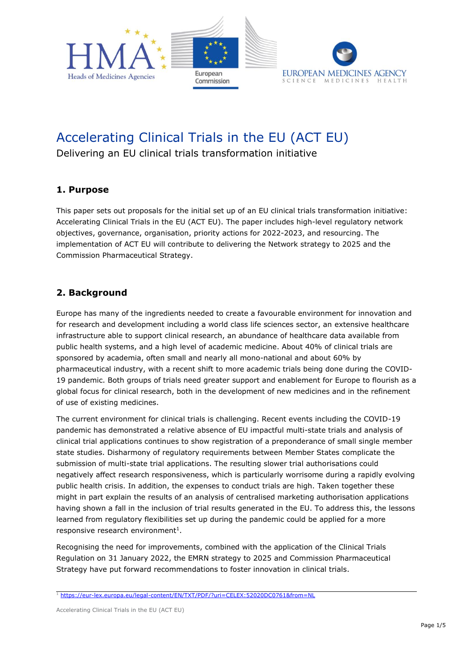

# Accelerating Clinical Trials in the EU (ACT EU)

Delivering an EU clinical trials transformation initiative

### **1. Purpose**

This paper sets out proposals for the initial set up of an EU clinical trials transformation initiative: Accelerating Clinical Trials in the EU (ACT EU). The paper includes high-level regulatory network objectives, governance, organisation, priority actions for 2022-2023, and resourcing. The implementation of ACT EU will contribute to delivering the Network strategy to 2025 and the Commission Pharmaceutical Strategy.

### **2. Background**

Europe has many of the ingredients needed to create a favourable environment for innovation and for research and development including a world class life sciences sector, an extensive healthcare infrastructure able to support clinical research, an abundance of healthcare data available from public health systems, and a high level of academic medicine. About 40% of clinical trials are sponsored by academia, often small and nearly all mono-national and about 60% by pharmaceutical industry, with a recent shift to more academic trials being done during the COVID-19 pandemic. Both groups of trials need greater support and enablement for Europe to flourish as a global focus for clinical research, both in the development of new medicines and in the refinement of use of existing medicines.

The current environment for clinical trials is challenging. Recent events including the COVID-19 pandemic has demonstrated a relative absence of EU impactful multi-state trials and analysis of clinical trial applications continues to show registration of a preponderance of small single member state studies. Disharmony of regulatory requirements between Member States complicate the submission of multi-state trial applications. The resulting slower trial authorisations could negatively affect research responsiveness, which is particularly worrisome during a rapidly evolving public health crisis. In addition, the expenses to conduct trials are high. Taken together these might in part explain the results of an analysis of centralised marketing authorisation applications having shown a fall in the inclusion of trial results generated in the EU. To address this, the lessons learned from regulatory flexibilities set up during the pandemic could be applied for a more  $responsive research environment<sup>1</sup>.$ 

Recognising the need for improvements, combined with the application of the Clinical Trials Regulation on 31 January 2022, the EMRN strategy to 2025 and Commission Pharmaceutical Strategy have put forward recommendations to foster innovation in clinical trials.

<sup>1</sup> <https://eur-lex.europa.eu/legal-content/EN/TXT/PDF/?uri=CELEX:52020DC0761&from=NL>

Accelerating Clinical Trials in the EU (ACT EU)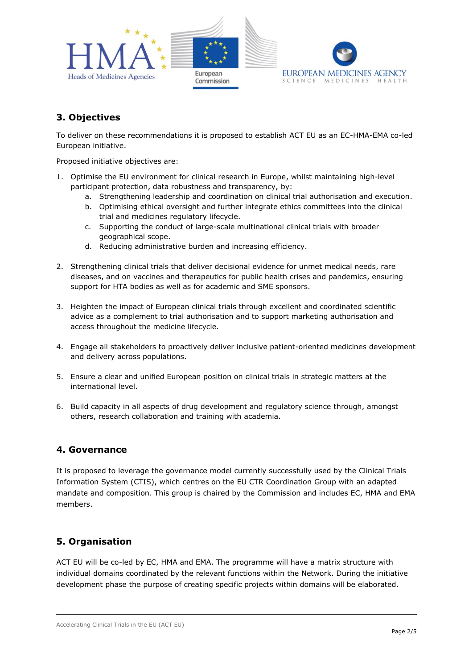

# **3. Objectives**

To deliver on these recommendations it is proposed to establish ACT EU as an EC-HMA-EMA co-led European initiative.

Proposed initiative objectives are:

- 1. Optimise the EU environment for clinical research in Europe, whilst maintaining high-level participant protection, data robustness and transparency, by:
	- a. Strengthening leadership and coordination on clinical trial authorisation and execution.
	- b. Optimising ethical oversight and further integrate ethics committees into the clinical trial and medicines regulatory lifecycle.
	- c. Supporting the conduct of large-scale multinational clinical trials with broader geographical scope.
	- d. Reducing administrative burden and increasing efficiency.
- 2. Strengthening clinical trials that deliver decisional evidence for unmet medical needs, rare diseases, and on vaccines and therapeutics for public health crises and pandemics, ensuring support for HTA bodies as well as for academic and SME sponsors.
- 3. Heighten the impact of European clinical trials through excellent and coordinated scientific advice as a complement to trial authorisation and to support marketing authorisation and access throughout the medicine lifecycle.
- 4. Engage all stakeholders to proactively deliver inclusive patient-oriented medicines development and delivery across populations.
- 5. Ensure a clear and unified European position on clinical trials in strategic matters at the international level.
- 6. Build capacity in all aspects of drug development and regulatory science through, amongst others, research collaboration and training with academia.

### **4. Governance**

It is proposed to leverage the governance model currently successfully used by the Clinical Trials Information System (CTIS), which centres on the EU CTR Coordination Group with an adapted mandate and composition. This group is chaired by the Commission and includes EC, HMA and EMA members.

### **5. Organisation**

ACT EU will be co-led by EC, HMA and EMA. The programme will have a matrix structure with individual domains coordinated by the relevant functions within the Network. During the initiative development phase the purpose of creating specific projects within domains will be elaborated.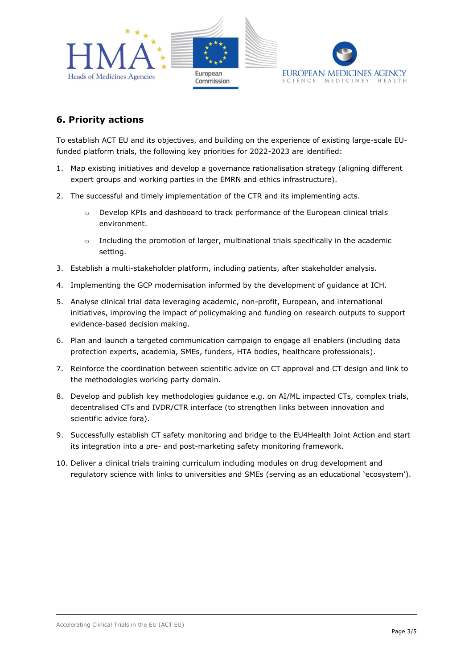

# **6. Priority actions**

To establish ACT EU and its objectives, and building on the experience of existing large-scale EUfunded platform trials, the following key priorities for 2022-2023 are identified:

- 1. Map existing initiatives and develop a governance rationalisation strategy (aligning different expert groups and working parties in the EMRN and ethics infrastructure).
- 2. The successful and timely implementation of the CTR and its implementing acts.
	- o Develop KPIs and dashboard to track performance of the European clinical trials environment.
	- $\circ$  Including the promotion of larger, multinational trials specifically in the academic setting.
- 3. Establish a multi-stakeholder platform, including patients, after stakeholder analysis.
- 4. Implementing the GCP modernisation informed by the development of guidance at ICH.
- 5. Analyse clinical trial data leveraging academic, non-profit, European, and international initiatives, improving the impact of policymaking and funding on research outputs to support evidence-based decision making.
- 6. Plan and launch a targeted communication campaign to engage all enablers (including data protection experts, academia, SMEs, funders, HTA bodies, healthcare professionals).
- 7. Reinforce the coordination between scientific advice on CT approval and CT design and link to the methodologies working party domain.
- 8. Develop and publish key methodologies guidance e.g. on AI/ML impacted CTs, complex trials, decentralised CTs and IVDR/CTR interface (to strengthen links between innovation and scientific advice fora).
- 9. Successfully establish CT safety monitoring and bridge to the EU4Health Joint Action and start its integration into a pre- and post-marketing safety monitoring framework.
- 10. Deliver a clinical trials training curriculum including modules on drug development and regulatory science with links to universities and SMEs (serving as an educational 'ecosystem').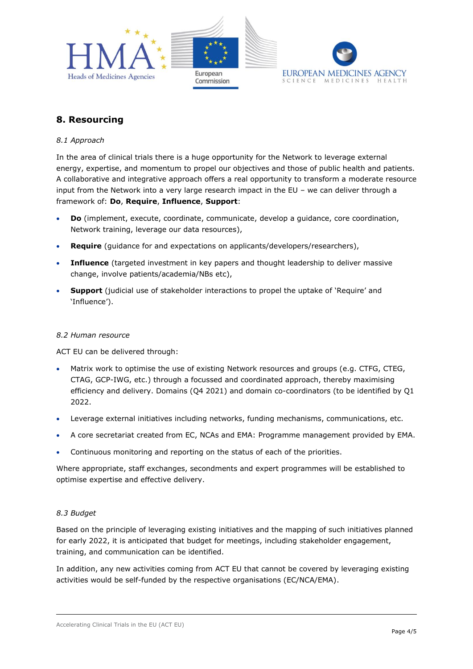

## **8. Resourcing**

#### *8.1 Approach*

In the area of clinical trials there is a huge opportunity for the Network to leverage external energy, expertise, and momentum to propel our objectives and those of public health and patients. A collaborative and integrative approach offers a real opportunity to transform a moderate resource input from the Network into a very large research impact in the EU – we can deliver through a framework of: **Do**, **Require**, **Influence**, **Support**:

- **Do** (implement, execute, coordinate, communicate, develop a guidance, core coordination, Network training, leverage our data resources),
- **Require** (guidance for and expectations on applicants/developers/researchers),
- **Influence** (targeted investment in key papers and thought leadership to deliver massive change, involve patients/academia/NBs etc),
- **Support** (judicial use of stakeholder interactions to propel the uptake of 'Require' and 'Influence').

#### *8.2 Human resource*

ACT EU can be delivered through:

- Matrix work to optimise the use of existing Network resources and groups (e.g. CTFG, CTEG, CTAG, GCP-IWG, etc.) through a focussed and coordinated approach, thereby maximising efficiency and delivery. Domains (Q4 2021) and domain co-coordinators (to be identified by Q1 2022.
- Leverage external initiatives including networks, funding mechanisms, communications, etc.
- A core secretariat created from EC, NCAs and EMA: Programme management provided by EMA.
- Continuous monitoring and reporting on the status of each of the priorities.

Where appropriate, staff exchanges, secondments and expert programmes will be established to optimise expertise and effective delivery.

#### *8.3 Budget*

Based on the principle of leveraging existing initiatives and the mapping of such initiatives planned for early 2022, it is anticipated that budget for meetings, including stakeholder engagement, training, and communication can be identified.

In addition, any new activities coming from ACT EU that cannot be covered by leveraging existing activities would be self-funded by the respective organisations (EC/NCA/EMA).